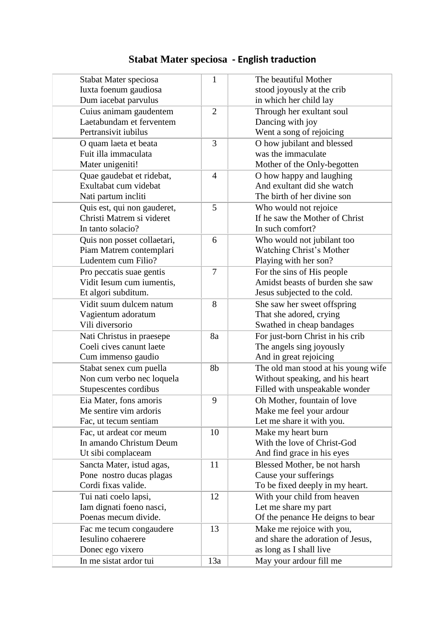## **Stabat Mater speciosa - English traduction**

| Stabat Mater speciosa       | $\mathbf{1}$   | The beautiful Mother                |
|-----------------------------|----------------|-------------------------------------|
| Iuxta foenum gaudiosa       |                | stood joyously at the crib          |
| Dum iacebat parvulus        |                | in which her child lay              |
| Cuius animam gaudentem      | $\overline{2}$ | Through her exultant soul           |
| Laetabundam et ferventem    |                | Dancing with joy                    |
| Pertransivit iubilus        |                | Went a song of rejoicing            |
| O quam laeta et beata       | 3              | O how jubilant and blessed          |
| Fuit illa immaculata        |                | was the immaculate                  |
| Mater unigeniti!            |                | Mother of the Only-begotten         |
| Quae gaudebat et ridebat,   | $\overline{4}$ | O how happy and laughing            |
| Exultabat cum videbat       |                | And exultant did she watch          |
| Nati partum incliti         |                | The birth of her divine son         |
| Quis est, qui non gauderet, | 5              | Who would not rejoice               |
| Christi Matrem si videret   |                | If he saw the Mother of Christ      |
| In tanto solacio?           |                | In such comfort?                    |
| Quis non posset collaetari, | 6              | Who would not jubilant too          |
| Piam Matrem contemplari     |                | Watching Christ's Mother            |
| Ludentem cum Filio?         |                | Playing with her son?               |
| Pro peccatis suae gentis    | 7              | For the sins of His people          |
| Vidit Iesum cum iumentis,   |                | Amidst beasts of burden she saw     |
| Et algori subditum.         |                | Jesus subjected to the cold.        |
| Vidit suum dulcem natum     | 8              | She saw her sweet offspring         |
| Vagientum adoratum          |                | That she adored, crying             |
| Vili diversorio             |                | Swathed in cheap bandages           |
| Nati Christus in praesepe   | 8a             | For just-born Christ in his crib    |
| Coeli cives canunt laete    |                | The angels sing joyously            |
| Cum immenso gaudio          |                | And in great rejoicing              |
| Stabat senex cum puella     | 8b             | The old man stood at his young wife |
| Non cum verbo nec loquela   |                | Without speaking, and his heart     |
| Stupescentes cordibus       |                | Filled with unspeakable wonder      |
| Eia Mater, fons amoris      | 9              | Oh Mother, fountain of love         |
| Me sentire vim ardoris      |                | Make me feel your ardour            |
| Fac, ut tecum sentiam       |                | Let me share it with you.           |
| Fac, ut ardeat cor meum     | 10             | Make my heart burn                  |
| In amando Christum Deum     |                | With the love of Christ-God         |
| Ut sibi complaceam          |                | And find grace in his eyes          |
| Sancta Mater, istud agas,   | 11             | Blessed Mother, be not harsh        |
| Pone nostro ducas plagas    |                | Cause your sufferings               |
| Cordi fixas valide.         |                | To be fixed deeply in my heart.     |
| Tui nati coelo lapsi,       | 12             | With your child from heaven         |
| Iam dignati foeno nasci,    |                | Let me share my part                |
| Poenas mecum divide.        |                | Of the penance He deigns to bear    |
| Fac me tecum congaudere     | 13             | Make me rejoice with you,           |
| Iesulino cohaerere          |                | and share the adoration of Jesus,   |
| Donec ego vixero            |                | as long as I shall live             |
| In me sistat ardor tui      | 13a            | May your ardour fill me             |